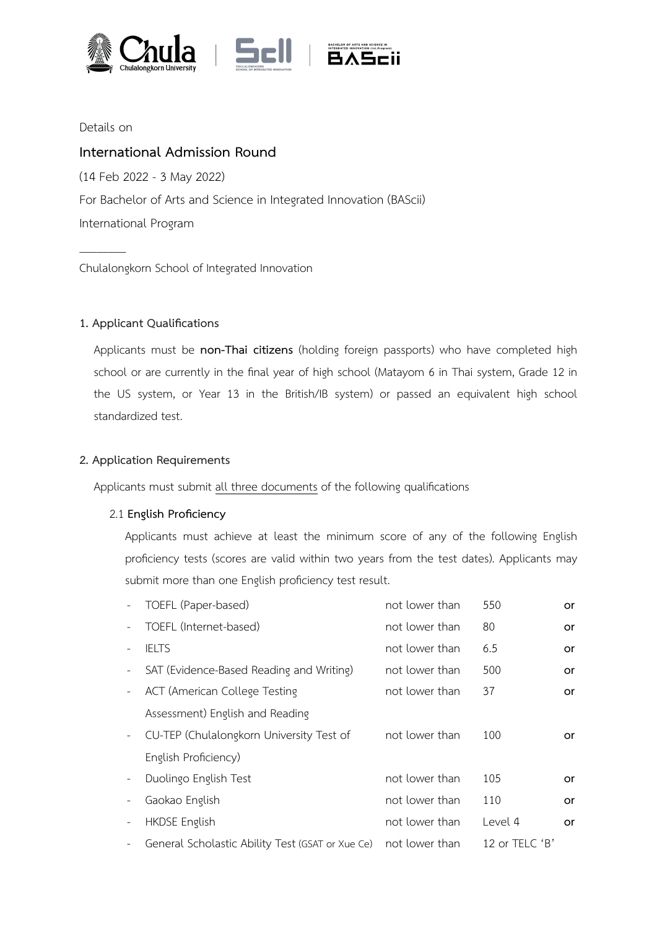



Details on

 $\overline{\phantom{a}}$ 

# **International Admission Round**

(14 Feb 2022 - 3 May 2022) For Bachelor of Arts and Science in Integrated Innovation (BAScii) International Program

Chulalongkorn School of Integrated Innovation

# **1. Applicant Qualifications**

Applicants must be **non-Thai citizens** (holding foreign passports) who have completed high school or are currently in the final year of high school (Matayom 6 in Thai system, Grade 12 in the US system, or Year 13 in the British/IB system) or passed an equivalent high school standardized test.

# **2. Application Requirements**

Applicants must submit all three documents of the following qualifications

# 2.1 **English Proficiency**

Applicants must achieve at least the minimum score of any of the following English proficiency tests (scores are valid within two years from the test dates). Applicants may submit more than one English proficiency test result.

|                          | TOEFL (Paper-based)                              | not lower than | 550            | or |
|--------------------------|--------------------------------------------------|----------------|----------------|----|
|                          | TOEFL (Internet-based)                           | not lower than | 80             | or |
|                          | <b>IELTS</b>                                     | not lower than | 6.5            | or |
| $\overline{\phantom{a}}$ | SAT (Evidence-Based Reading and Writing)         | not lower than | 500            | or |
| $\overline{\phantom{a}}$ | <b>ACT (American College Testing</b>             | not lower than | 37             | or |
|                          | Assessment) English and Reading                  |                |                |    |
| $\equiv$                 | CU-TEP (Chulalongkorn University Test of         | not lower than | 100            | or |
|                          | English Proficiency)                             |                |                |    |
| $\overline{\phantom{a}}$ | Duolingo English Test                            | not lower than | 105            | or |
| $\overline{\phantom{a}}$ | Gaokao English                                   | not lower than | 110            | or |
|                          | <b>HKDSE English</b>                             | not lower than | Level 4        | or |
| $\overline{\phantom{a}}$ | General Scholastic Ability Test (GSAT or Xue Ce) | not lower than | 12 or TELC $B$ |    |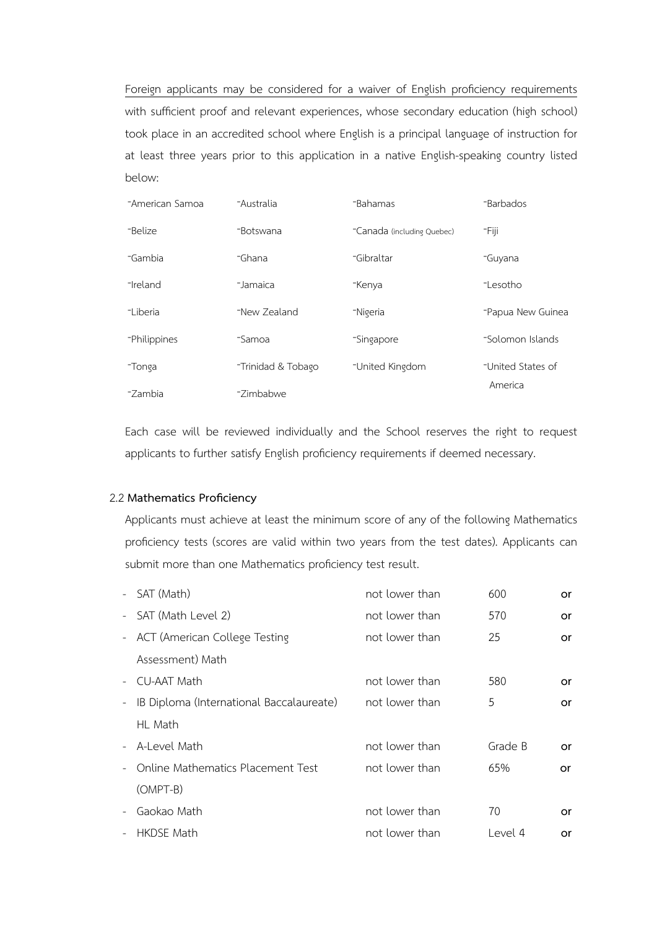Foreign applicants may be considered for a waiver of English proficiency requirements with sufficient proof and relevant experiences, whose secondary education (high school) took place in an accredited school where English is a principal language of instruction for at least three years prior to this application in a native English-speaking country listed below:

| -American Samoa | -Australia         | -Bahamas                   | -Barbados         |
|-----------------|--------------------|----------------------------|-------------------|
| -Belize         | -Botswana          | -Canada (including Quebec) | -Fiji             |
| -Gambia         | -Ghana             | -Gibraltar                 | -Guyana           |
| -Ireland        | -Jamaica           | -Kenya                     | -Lesotho          |
| -Liberia        | -New Zealand       | -Nigeria                   | -Papua New Guinea |
| -Philippines    | -Samoa             | -Singapore                 | -Solomon Islands  |
| -Tonga          | -Trinidad & Tobago | -United Kingdom            | -United States of |
| -Zambia         | -Zimbabwe          |                            | America           |

Each case will be reviewed individually and the School reserves the right to request applicants to further satisfy English proficiency requirements if deemed necessary.

#### 2.2 **Mathematics Proficiency**

Applicants must achieve at least the minimum score of any of the following Mathematics proficiency tests (scores are valid within two years from the test dates). Applicants can submit more than one Mathematics proficiency test result.

| $\sim$                   | SAT (Math)                               | not lower than | 600     | or  |
|--------------------------|------------------------------------------|----------------|---------|-----|
|                          | - SAT (Math Level 2)                     | not lower than | 570     | or  |
|                          | - ACT (American College Testing          | not lower than | 25      | or  |
|                          | Assessment) Math                         |                |         |     |
| $\sim$                   | CU-AAT Math                              | not lower than | 580     | or  |
| $\overline{\phantom{a}}$ | IB Diploma (International Baccalaureate) | not lower than | 5       | or  |
|                          | HL Math                                  |                |         |     |
|                          | - A-Level Math                           | not lower than | Grade B | or. |
|                          | Online Mathematics Placement Test        | not lower than | 65%     | or  |
|                          | (OMPT-B)                                 |                |         |     |
| $\overline{\phantom{a}}$ | Gaokao Math                              | not lower than | 70      | or  |
| $\overline{\phantom{a}}$ | <b>HKDSE Math</b>                        | not lower than | Level 4 | or  |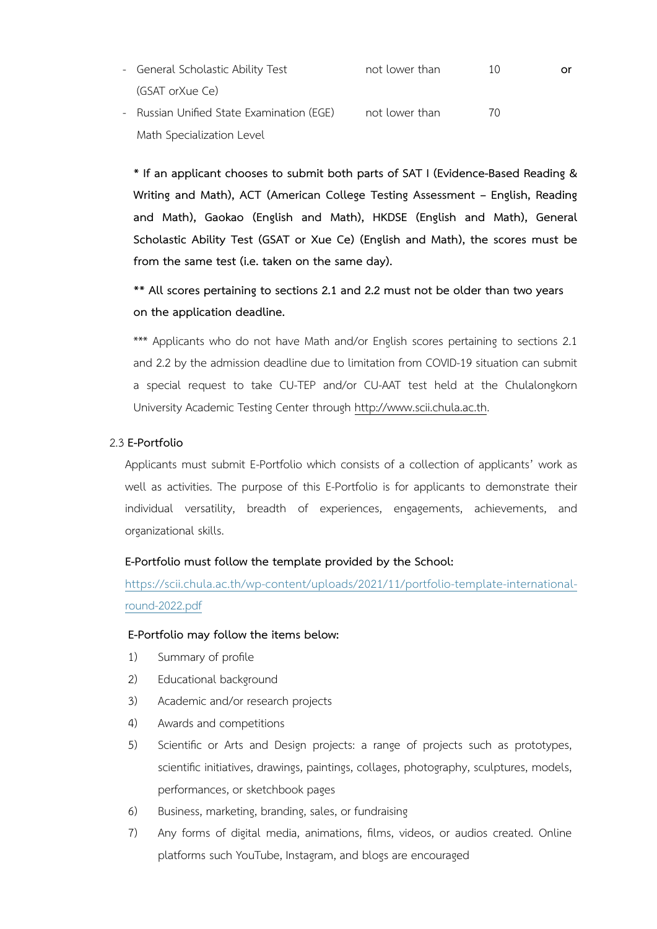- General Scholastic Ability Test (GSAT orXue Ce) not lower than 10 **or**
- Russian Unified State Examination (EGE) not lower than 70 Math Specialization Level

**\* If an applicant chooses to submit both parts of SAT I (Evidence-Based Reading & Writing and Math), ACT (American College Testing Assessment – English, Reading and Math), Gaokao (English and Math), HKDSE (English and Math), General Scholastic Ability Test (GSAT or Xue Ce) (English and Math), the scores must be from the same test (i.e. taken on the same day).**

**\*\* All scores pertaining to sections 2.1 and 2.2 must not be older than two years on the application deadline.**

\*\*\* Applicants who do not have Math and/or English scores pertaining to sections 2.1 and 2.2 by the admission deadline due to limitation from COVID-19 situation can submit a special request to take CU-TEP and/or CU-AAT test held at the Chulalongkorn University Academic Testing Center through<http://www.scii.chula.ac.th>.

#### 2.3 **E-Portfolio**

Applicants must submit E-Portfolio which consists of a collection of applicants' work as well as activities. The purpose of this E-Portfolio is for applicants to demonstrate their individual versatility, breadth of experiences, engagements, achievements, and organizational skills.

#### **E-Portfolio must follow the template provided by the School:**

[https://scii.chula.ac.th/wp-content/uploads/2021/11/portfolio-template-international](https://scii.chula.ac.th/wp-content/uploads/2021/11/portfolio-template-international-round-2022.pdf)[round-2022.pdf](https://scii.chula.ac.th/wp-content/uploads/2021/11/portfolio-template-international-round-2022.pdf)

#### **E-Portfolio may follow the items below:**

- 1) Summary of profile
- 2) Educational background
- 3) Academic and/or research projects
- 4) Awards and competitions
- 5) Scientific or Arts and Design projects: a range of projects such as prototypes, scientific initiatives, drawings, paintings, collages, photography, sculptures, models, performances, or sketchbook pages
- 6) Business, marketing, branding, sales, or fundraising
- 7) Any forms of digital media, animations, films, videos, or audios created. Online platforms such YouTube, Instagram, and blogs are encouraged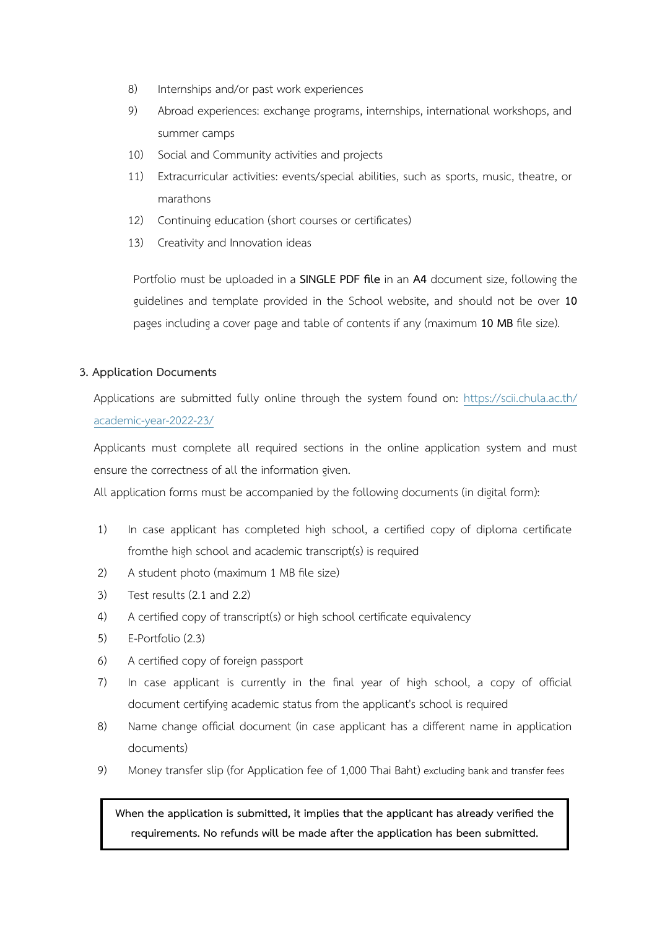- 8) Internships and/or past work experiences
- 9) Abroad experiences: exchange programs, internships, international workshops, and summer camps
- 10) Social and Community activities and projects
- 11) Extracurricular activities: events/special abilities, such as sports, music, theatre, or marathons
- 12) Continuing education (short courses or certificates)
- 13) Creativity and Innovation ideas

Portfolio must be uploaded in a **SINGLE PDF file** in an **A4** document size, following the guidelines and template provided in the School website, and should not be over **10**  pages including a cover page and table of contents if any (maximum **10 MB** file size).

# **3. Application Documents**

Applications are submitted fully online through the system found on: [https://scii.chula.ac.th/](https://scii.chula.ac.th/academic-year-2022-23/) [academic-year-2022-23/](https://scii.chula.ac.th/academic-year-2022-23/)

Applicants must complete all required sections in the online application system and must ensure the correctness of all the information given.

All application forms must be accompanied by the following documents (in digital form):

- 1) In case applicant has completed high school, a certified copy of diploma certificate fromthe high school and academic transcript(s) is required
- 2) A student photo (maximum 1 MB file size)
- 3) Test results (2.1 and 2.2)
- 4) A certified copy of transcript(s) or high school certificate equivalency
- 5) E-Portfolio (2.3)
- 6) A certified copy of foreign passport
- 7) In case applicant is currently in the final year of high school, a copy of official document certifying academic status from the applicant's school is required
- 8) Name change official document (in case applicant has a different name in application documents)
- 9) Money transfer slip (for Application fee of 1,000 Thai Baht) excluding bank and transfer fees

**When the application is submitted, it implies that the applicant has already verified the requirements. No refunds will be made after the application has been submitted.**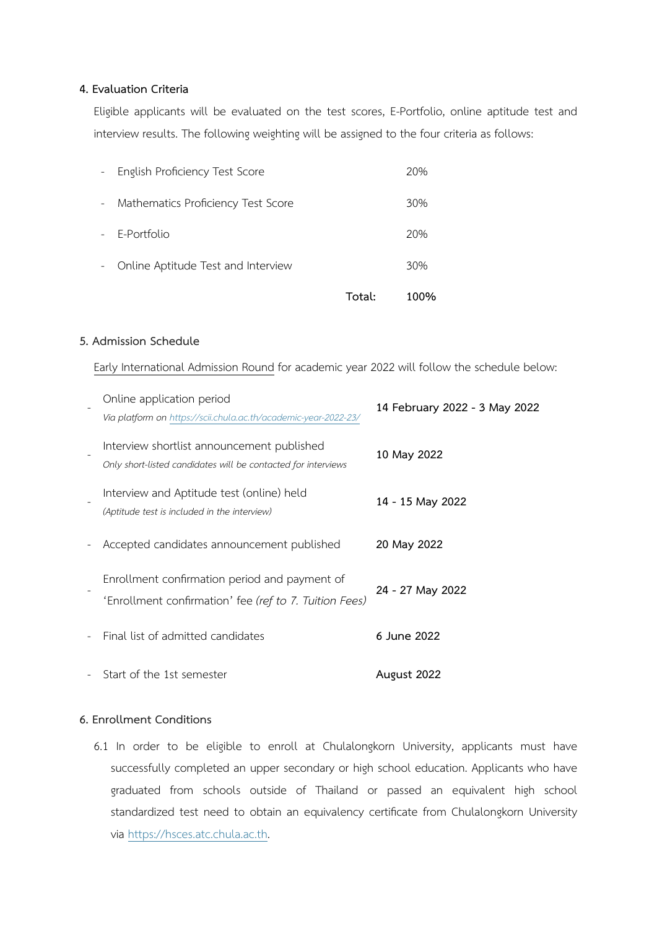#### **4. Evaluation Criteria**

Eligible applicants will be evaluated on the test scores, E-Portfolio, online aptitude test and interview results. The following weighting will be assigned to the four criteria as follows:

|               |                                    | Total: | 100% |
|---------------|------------------------------------|--------|------|
| $\sim$        | Online Aptitude Test and Interview |        | 30%  |
|               | - E-Portfolio                      |        | 20%  |
| $\frac{1}{2}$ | Mathematics Proficiency Test Score |        | 30%  |
| $\sim$        | English Proficiency Test Score     |        | 20%  |

#### **5. Admission Schedule**

Early International Admission Round for academic year 2022 will follow the schedule below:

| Online application period<br>Via platform on https://scii.chula.ac.th/academic-year-2022-23/                | 14 February 2022 - 3 May 2022 |
|-------------------------------------------------------------------------------------------------------------|-------------------------------|
| Interview shortlist announcement published<br>Only short-listed candidates will be contacted for interviews | 10 May 2022                   |
| Interview and Aptitude test (online) held<br>(Aptitude test is included in the interview)                   | 14 - 15 May 2022              |
| Accepted candidates announcement published                                                                  | 20 May 2022                   |
| Enrollment confirmation period and payment of<br>'Enrollment confirmation' fee (ref to 7. Tuition Fees)     | 24 - 27 May 2022              |
| Final list of admitted candidates                                                                           | 6 June 2022                   |
| Start of the 1st semester                                                                                   | August 2022                   |

# **6. Enrollment Conditions**

6.1 In order to be eligible to enroll at Chulalongkorn University, applicants must have successfully completed an upper secondary or high school education. Applicants who have graduated from schools outside of Thailand or passed an equivalent high school standardized test need to obtain an equivalency certificate from Chulalongkorn University via https://hsces.atc.chula.ac.th.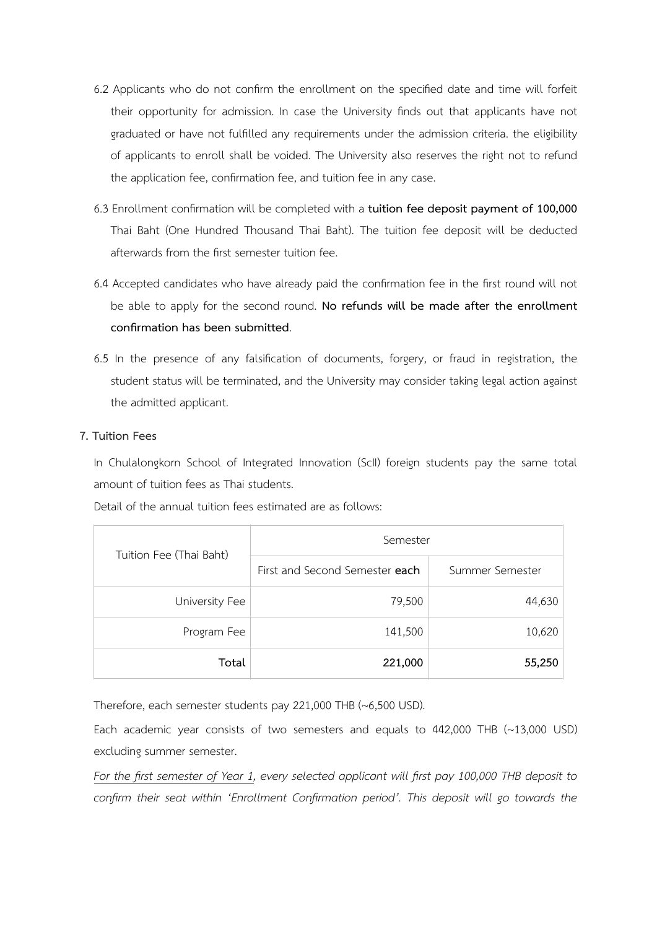- 6.2 Applicants who do not confirm the enrollment on the specified date and time will forfeit their opportunity for admission. In case the University finds out that applicants have not graduated or have not fulfilled any requirements under the admission criteria. the eligibility of applicants to enroll shall be voided. The University also reserves the right not to refund the application fee, confirmation fee, and tuition fee in any case.
- 6.3 Enrollment confirmation will be completed with a **tuition fee deposit payment of 100,000** Thai Baht (One Hundred Thousand Thai Baht). The tuition fee deposit will be deducted afterwards from the first semester tuition fee.
- 6.4 Accepted candidates who have already paid the confirmation fee in the first round will not be able to apply for the second round. **No refunds will be made after the enrollment confirmation has been submitted**.
- 6.5 In the presence of any falsification of documents, forgery, or fraud in registration, the student status will be terminated, and the University may consider taking legal action against the admitted applicant.

#### **7. Tuition Fees**

In Chulalongkorn School of Integrated Innovation (ScII) foreign students pay the same total amount of tuition fees as Thai students.

Detail of the annual tuition fees estimated are as follows:

| Tuition Fee (Thai Baht) | Semester                       |                 |  |
|-------------------------|--------------------------------|-----------------|--|
|                         | First and Second Semester each | Summer Semester |  |
| University Fee          | 79,500                         | 44,630          |  |
| Program Fee             | 141,500                        | 10,620          |  |
| Total                   | 221,000                        | 55,250          |  |

Therefore, each semester students pay 221,000 THB (~6,500 USD).

Each academic year consists of two semesters and equals to 442,000 THB (~13,000 USD) excluding summer semester.

*For the first semester of Year 1, every selected applicant will first pay 100,000 THB deposit to confirm their seat within 'Enrollment Confirmation period'. This deposit will go towards the*